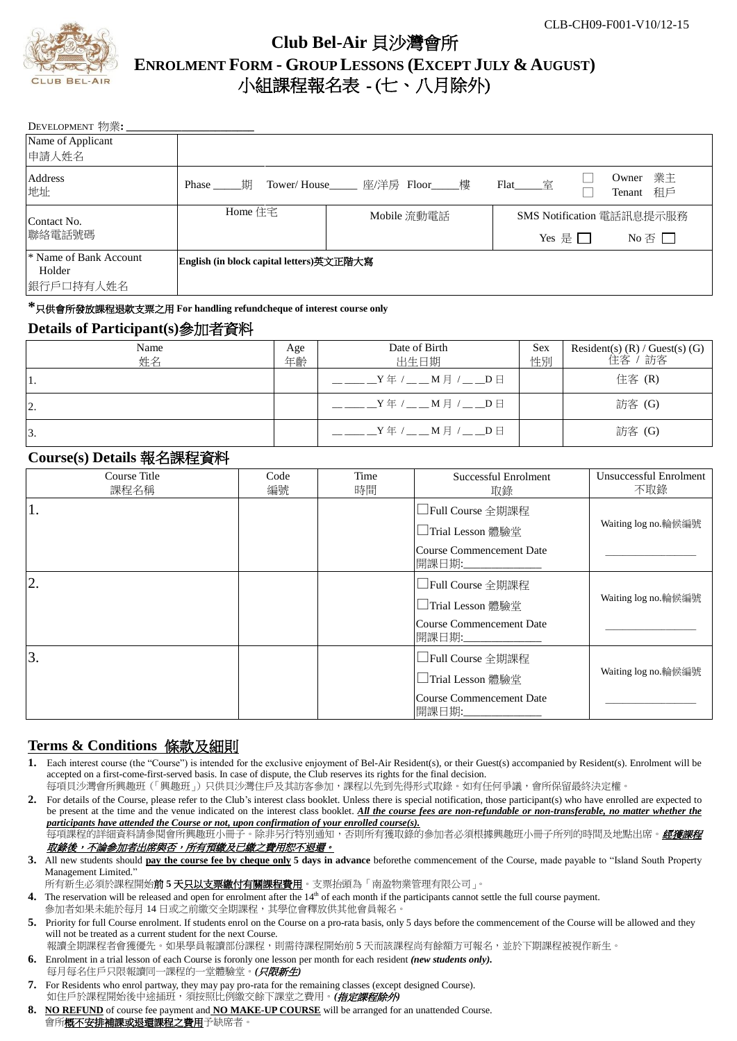

# **Club Bel-Air** 貝沙灣會所 **ENROLMENT FORM - GROUP LESSONS (EXCEPT JULY & AUGUST)** 小組課程報名表 - (七、八月除外)

| DEVELOPMENT 物業:                  |                                                                   |  |                           |                               |  |
|----------------------------------|-------------------------------------------------------------------|--|---------------------------|-------------------------------|--|
| Name of Applicant                |                                                                   |  |                           |                               |  |
| 申請人姓名                            |                                                                   |  |                           |                               |  |
| Address<br>地址                    | Owner<br>Flat 室<br>Tower/House_____ 座/洋房 Floor_____樓<br>Phase   期 |  |                           | 業主<br>Tenant 和戶               |  |
| Contact No.                      | Home 住宅<br>Mobile 流動電話                                            |  | SMS Notification 電話訊息提示服務 |                               |  |
| 聯絡電話號碼                           |                                                                   |  | Yes 是 $\square$           | No $\overline{\oplus} \ \Box$ |  |
| * Name of Bank Account<br>Holder | English (in block capital letters)英文正階大寫                          |  |                           |                               |  |
| 銀行戶口持有人姓名                        |                                                                   |  |                           |                               |  |

**\***只供會所發放課程退款支票之用 **For handling refundcheque of interest course only**

#### **Details of Participant(s)**參加者資料

| Name<br>姓名 | Age<br>年齡 | Date of Birth<br>出生日期     | Sex<br>性別 | Resident(s) $(R)$ / Guest(s) $(G)$<br>" 訪客<br>住客 |
|------------|-----------|---------------------------|-----------|--------------------------------------------------|
| 11.        |           | $Y \oplus Y = M \oplus Y$ |           | 住客 (R)                                           |
| 2.         |           | $Y \oplus Y = M \oplus Y$ |           | 訪客 (G)                                           |
| 3.         |           | $Y \oplus Y = M \oplus Y$ |           | 訪客 (G)                                           |

## **Course(s) Details** 報名課程資料

| Course Title<br>課程名稱 | Code<br>編號 | Time<br>時間 | Successful Enrolment<br>取錄                                                                      | Unsuccessful Enrolment<br>不取錄 |
|----------------------|------------|------------|-------------------------------------------------------------------------------------------------|-------------------------------|
| 1.                   |            |            | □Full Course 全期課程<br>□Trial Lesson 體驗堂<br>Course Commencement Date<br>開課日期:                     | Waiting log no.輪候編號           |
| 2.                   |            |            | □Full Course 全期課程<br>□Trial Lesson 體驗堂<br><b>Course Commencement Date</b><br>開課日期:_____________ | Waiting log no.輪候編號           |
| 3.                   |            |            | □Full Course 全期課程<br>□Trial Lesson 體驗堂<br><b>Course Commencement Date</b><br>開課日期:              | Waiting log no.輪候編號           |

### **Terms & Conditions** 條款及細則

Each interest course (the "Course") is intended for the exclusive enjoyment of Bel-Air Resident(s), or their Guest(s) accompanied by Resident(s). Enrolment will be accepted on a first-come-first-served basis. In case of dispute, the Club reserves its rights for the final decision.

每項貝沙灣會所興趣班(「興趣班」)只供貝沙灣住戶及其訪客參加,課程以先到先得形式取錄。如有任何爭議,會所保留最終決定權。

- **2.** For details of the Course, please refer to the Club's interest class booklet. Unless there is special notification, those participant(s) who have enrolled are expected to be present at the time and the venue indicated on the interest class booklet. *All the course fees are non-refundable or non-transferable, no matter whether the participants have attended the Course or not, upon confirmation of your enrolled course(s).*
- .<br>每項課程的詳細資料請參閱會所興趣班小冊子。除非另行特別通知,否則所有獲取錄的參加者必須根據興趣班小冊子所列的時間及地點出席。*經獲課程* 取錄後,不論參加者出席與否,所有預繳及已繳之費用恕不退還。
- **3.** All new students should **pay the course fee by cheque only 5 days in advance** beforethe commencement of the Course, made payable to "Island South Property Management Limited."

所有新生必須於課程開始**前5天<u>只以支票繳付有關課程費用</u>。支票抬頭為「南盈物業管理有限公司」。** 

- 4. The reservation will be released and open for enrolment after the 14<sup>th</sup> of each month if the participants cannot settle the full course payment. 参加者如果未能於每月 14 日或之前繳交全期課程,其學位會釋放供其他會員報名。
- 5. Priority for full Course enrolment. If students enrol on the Course on a pro-rata basis, only 5 days before the commencement of the Course will be allowed and they will not be treated as a current student for the next Course.

報讀全期課程者會獲優先。如果學員報讀部份課程,則需待課程開始前 5 天而該課程尚有餘額方可報名,並於下期課程被視作新生。

- **6.** Enrolment in a trial lesson of each Course is foronly one lesson per month for each resident *(new students only).* 每月每名住戶只限報讀同一課程的一堂體驗堂。*(*只限新生*)*
- **7.** For Residents who enrol partway, they may pay pro-rata for the remaining classes (except designed Course). 如住戶於課程開始後中途插班,須按照比例繳交餘下課堂之費用。*(指定課程除外)*
- **8. NO REFUND** of course fee payment and **NO MAKE-UP COURSE** will be arranged for an unattended Course. 會所**概不安排補課或退還課程之費用**予缺席者